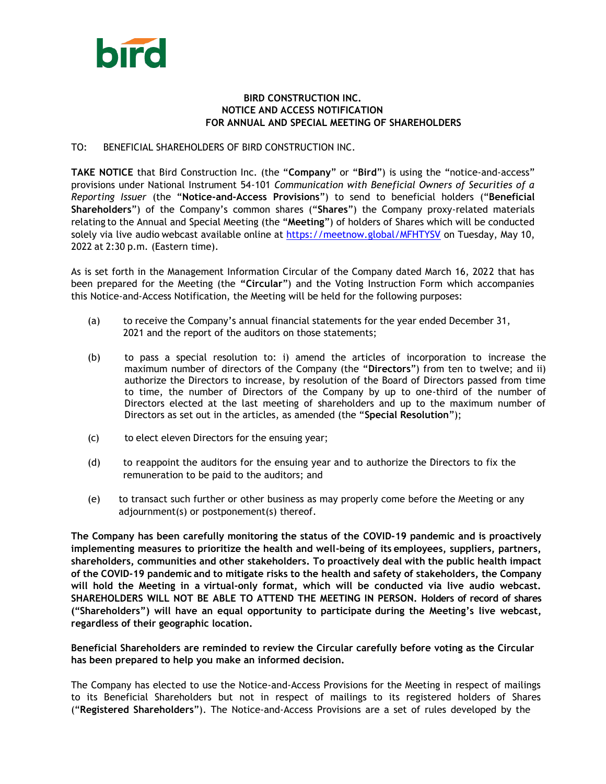

## **BIRD CONSTRUCTION INC. NOTICE AND ACCESS NOTIFICATION FOR ANNUAL AND SPECIAL MEETING OF SHAREHOLDERS**

## TO: BENEFICIAL SHAREHOLDERS OF BIRD CONSTRUCTION INC.

**TAKE NOTICE** that Bird Construction Inc. (the "**Company**" or "**Bird**") is using the "notice-and-access" provisions under National Instrument 54-101 *Communication with Beneficial Owners of Securities of a Reporting Issuer* (the "**Notice-and-Access Provisions**") to send to beneficial holders ("**Beneficial Shareholders**") of the Company's common shares ("**Shares**") the Company proxy-related materials relating to the Annual and Special Meeting (the "**Meeting**") of holders of Shares which will be conducted solely via live audio webcast available online at [https://meetnow.global/MFHTYSV](https://can01.safelinks.protection.outlook.com/?url=https%3A%2F%2Fmeetnow.global%2FMFHTYSV&data=04%7C01%7CTess.Lofsky%40bird.ca%7Cfc370a64098749daf6cc08da0064da7c%7Ca44c16a3b23544f8ae5cc59a9b361db9%7C0%7C0%7C637822730409160044%7CUnknown%7CTWFpbGZsb3d8eyJWIjoiMC4wLjAwMDAiLCJQIjoiV2luMzIiLCJBTiI6Ik1haWwiLCJXVCI6Mn0%3D%7C3000&sdata=1KfuuaNyX8QJ3BUoSPnoj4x2ibIsB%2F9h8RaOc6qD7Jg%3D&reserved=0) on Tuesday, May 10, 2022 at 2:30 p.m. (Eastern time).

As is set forth in the Management Information Circular of the Company dated March 16, 2022 that has been prepared for the Meeting (the **"Circular**") and the Voting Instruction Form which accompanies this Notice-and-Access Notification, the Meeting will be held for the following purposes:

- (a) to receive the Company's annual financial statements for the year ended December 31, 2021 and the report of the auditors on those statements;
- (b) to pass a special resolution to: i) amend the articles of incorporation to increase the maximum number of directors of the Company (the "**Directors**") from ten to twelve; and ii) authorize the Directors to increase, by resolution of the Board of Directors passed from time to time, the number of Directors of the Company by up to one-third of the number of Directors elected at the last meeting of shareholders and up to the maximum number of Directors as set out in the articles, as amended (the "**Special Resolution**");
- (c) to elect eleven Directors for the ensuing year;
- (d) to reappoint the auditors for the ensuing year and to authorize the Directors to fix the remuneration to be paid to the auditors; and
- (e) to transact such further or other business as may properly come before the Meeting or any adjournment(s) or postponement(s) thereof.

**The Company has been carefully monitoring the status of the COVID-19 pandemic and is proactively implementing measures to prioritize the health and well-being of its employees, suppliers, partners, shareholders, communities and other stakeholders. To proactively deal with the public health impact of the COVID-19 pandemic and to mitigate risks to the health and safety of stakeholders, the Company will hold the Meeting in a virtual-only format, which will be conducted via live audio webcast. SHAREHOLDERS WILL NOT BE ABLE TO ATTEND THE MEETING IN PERSON. Holders of record of shares ("Shareholders") will have an equal opportunity to participate during the Meeting's live webcast, regardless of their geographic location.**

**Beneficial Shareholders are reminded to review the Circular carefully before voting as the Circular has been prepared to help you make an informed decision.**

The Company has elected to use the Notice-and-Access Provisions for the Meeting in respect of mailings to its Beneficial Shareholders but not in respect of mailings to its registered holders of Shares ("**Registered Shareholders**"). The Notice-and-Access Provisions are a set of rules developed by the